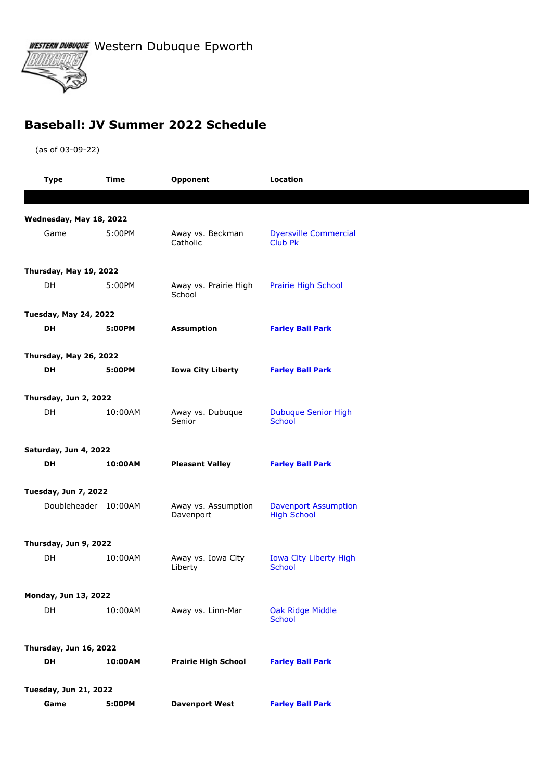WESTERN DUBUQUE Western Dubuque Epworth



## **Baseball: JV Summer 2022 Schedule**

(as of 03-09-22)

|                              | <b>Type</b>                  | Time    | Opponent                         | Location                                          |  |  |
|------------------------------|------------------------------|---------|----------------------------------|---------------------------------------------------|--|--|
|                              |                              |         |                                  |                                                   |  |  |
| Wednesday, May 18, 2022      |                              |         |                                  |                                                   |  |  |
|                              | Game                         | 5:00PM  | Away vs. Beckman<br>Catholic     | <b>Dyersville Commercial</b><br><b>Club Pk</b>    |  |  |
|                              | Thursday, May 19, 2022       |         |                                  |                                                   |  |  |
|                              | DH                           | 5:00PM  | Away vs. Prairie High<br>School  | Prairie High School                               |  |  |
|                              | <b>Tuesday, May 24, 2022</b> |         |                                  |                                                   |  |  |
|                              | DH                           | 5:00PM  | <b>Assumption</b>                | <b>Farley Ball Park</b>                           |  |  |
| Thursday, May 26, 2022       |                              |         |                                  |                                                   |  |  |
|                              | DH                           | 5:00PM  | <b>Iowa City Liberty</b>         | <b>Farley Ball Park</b>                           |  |  |
|                              | Thursday, Jun 2, 2022        |         |                                  |                                                   |  |  |
|                              | <b>DH</b>                    | 10:00AM | Away vs. Dubuque<br>Senior       | <b>Dubuque Senior High</b><br><b>School</b>       |  |  |
|                              | Saturday, Jun 4, 2022        |         |                                  |                                                   |  |  |
|                              | <b>DH</b>                    | 10:00AM | <b>Pleasant Valley</b>           | <b>Farley Ball Park</b>                           |  |  |
| <b>Tuesday, Jun 7, 2022</b>  |                              |         |                                  |                                                   |  |  |
|                              | Doubleheader 10:00AM         |         | Away vs. Assumption<br>Davenport | <b>Davenport Assumption</b><br><b>High School</b> |  |  |
|                              | Thursday, Jun 9, 2022        |         |                                  |                                                   |  |  |
|                              | DH                           | 10:00AM | Away vs. Iowa City<br>Liberty    | Iowa City Liberty High<br><b>School</b>           |  |  |
|                              | Monday, Jun 13, 2022         |         |                                  |                                                   |  |  |
|                              | DH                           | 10:00AM | Away vs. Linn-Mar                | Oak Ridge Middle<br>School                        |  |  |
| Thursday, Jun 16, 2022       |                              |         |                                  |                                                   |  |  |
|                              | DH                           | 10:00AM | <b>Prairie High School</b>       | <b>Farley Ball Park</b>                           |  |  |
| <b>Tuesday, Jun 21, 2022</b> |                              |         |                                  |                                                   |  |  |
|                              | Game                         | 5:00PM  | <b>Davenport West</b>            | <b>Farley Ball Park</b>                           |  |  |